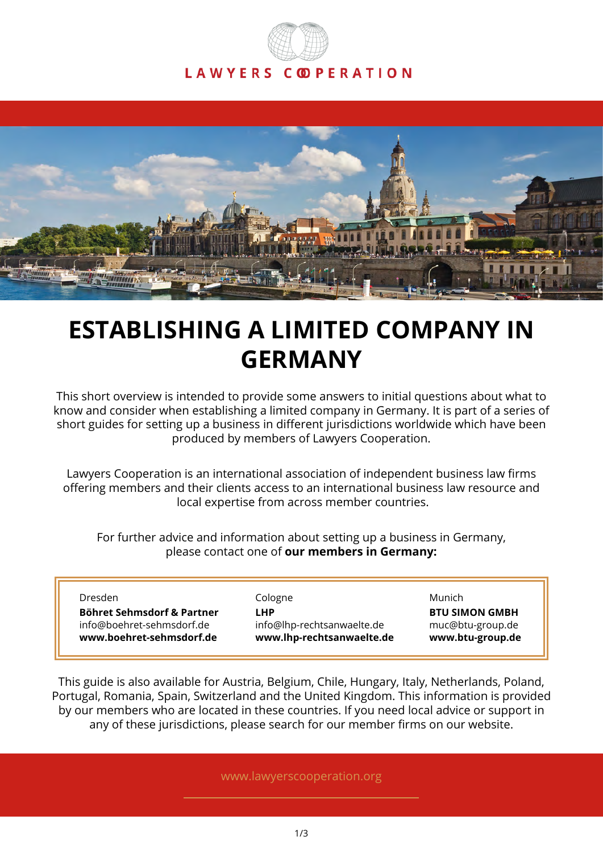# LAWYERS COPERATION



# **ESTABLISHING A LIMITED COMPANY IN GERMANY**

This short overview is intended to provide some answers to initial questions about what to know and consider when establishing a limited company in Germany. It is part of a series of short guides for setting up a business in different jurisdictions worldwide which have been produced by members of Lawyers Cooperation.

Lawyers Cooperation is an international association of independent business law firms offering members and their clients access to an international business law resource and local expertise from across member countries.

For further advice and information about setting up a business in Germany, please contact one of **our members in Germany:**

| Dresden                    | Cologne                    | Munich                |
|----------------------------|----------------------------|-----------------------|
| Böhret Sehmsdorf & Partner | LHP                        | <b>BTU SIMON GMBH</b> |
| info@boehret-sehmsdorf.de  | info@lhp-rechtsanwaelte.de | muc@btu-group.de      |
| www.boehret-sehmsdorf.de   | www.lhp-rechtsanwaelte.de  | www.btu-group.de      |

This guide is also available for Austria, Belgium, Chile, Hungary, Italy, Netherlands, Poland, Portugal, Romania, Spain, Switzerland and the United Kingdom. This information is provided by our members who are located in these countries. If you need local advice or support in any of these jurisdictions, please search for our member firms on our website.

www.lawyerscooperation.org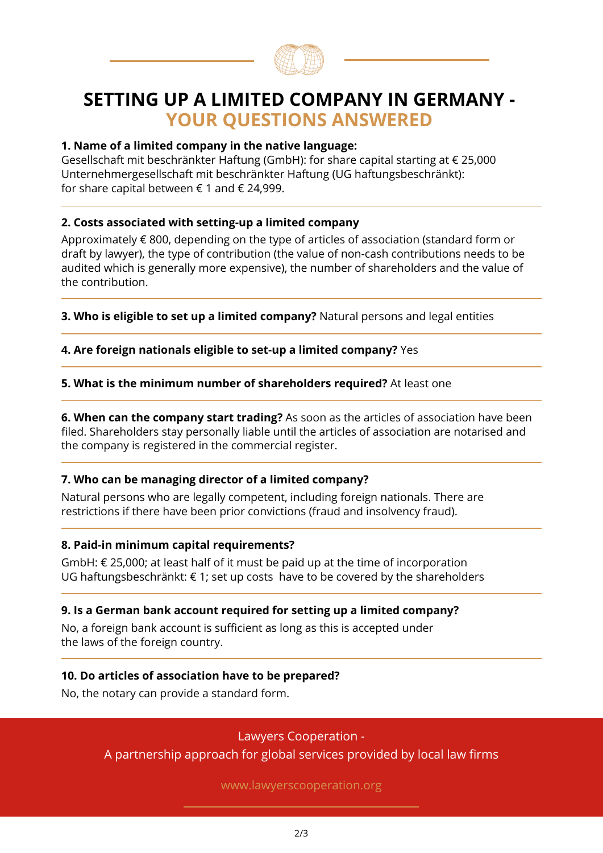

### **SETTING UP A LIMITED COMPANY IN GERMANY - YOUR QUESTIONS ANSWERED**

#### **1. Name of a limited company in the native language:**

Gesellschaft mit beschränkter Haftung (GmbH): for share capital starting at € 25,000 Unternehmergesellschaft mit beschränkter Haftung (UG haftungsbeschränkt): for share capital between  $\epsilon$  1 and  $\epsilon$  24,999.

#### **2. Costs associated with setting-up a limited company**

Approximately € 800, depending on the type of articles of association (standard form or draft by lawyer), the type of contribution (the value of non-cash contributions needs to be audited which is generally more expensive), the number of shareholders and the value of the contribution.

**3. Who is eligible to set up a limited company?** Natural persons and legal entities

**4. Are foreign nationals eligible to set-up a limited company?** Yes

**5. What is the minimum number of shareholders required?** At least one

**6. When can the company start trading?** As soon as the articles of association have been filed. Shareholders stay personally liable until the articles of association are notarised and the company is registered in the commercial register.

#### **7. Who can be managing director of a limited company?**

Natural persons who are legally competent, including foreign nationals. There are restrictions if there have been prior convictions (fraud and insolvency fraud).

#### **8. Paid-in minimum capital requirements?**

GmbH:  $\epsilon$  25,000; at least half of it must be paid up at the time of incorporation UG haftungsbeschränkt: € 1; set up costs have to be covered by the shareholders

#### **9. Is a German bank account required for setting up a limited company?**

No, a foreign bank account is sufficient as long as this is accepted under the laws of the foreign country.

#### **10. Do articles of association have to be prepared?**

No, the notary can provide a standard form.

Lawyers Cooperation -

A partnership approach for global services provided by local law firms

www.lawyerscooperation.org